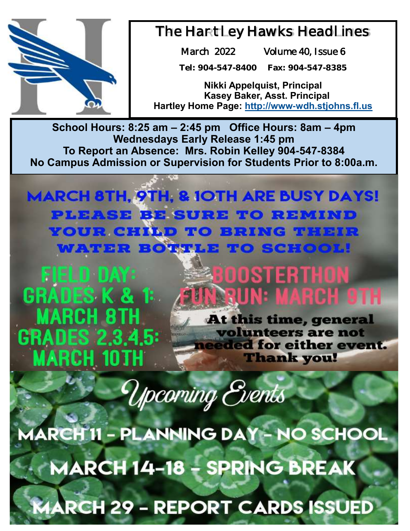

### The Hartley Hawks Headlines

March 2022 Volume 40, Issue 6

**Tel: 904-547-8400 Fax: 904-547-8385**

**Nikki Appelquist, Principal Kasey Baker, Asst. Principal Hartley Home Page: <http://www-wdh.stjohns.fl.us>**

**School Hours: 8:25 am – 2:45 pm Office Hours: 8am – 4pm Wednesdays Early Release 1:45 pm To Report an Absence: Mrs. Robin Kelley 904-547-8384 No Campus Admission or Supervision for Students Prior to 8:00a.m.** 

**MARCH 8TH, 9TH, & 1OTH ARE BUSY DAYS! PLEASE BE SURE TO REMIND YOUR CHILD TO BRING THEIR WATER BOTTLE TO SCHOOL!** 

FIELD DAY: **GRADES K & 1: MARCH 8TH** GRADES 2.3.4.5: **MARCH 10TH** 

# BOOSTERTHON **N-RUN: MARCH 9TH**

At this time, general volunteers are not needed for either event. **Thank you!** 

Upcoming Events

MARCH'II - PLANNING DAY - NO SCHOOL **MARCH 14-18 - SPRING BREAK RCH 29 - REPORT CARDS ISSUED**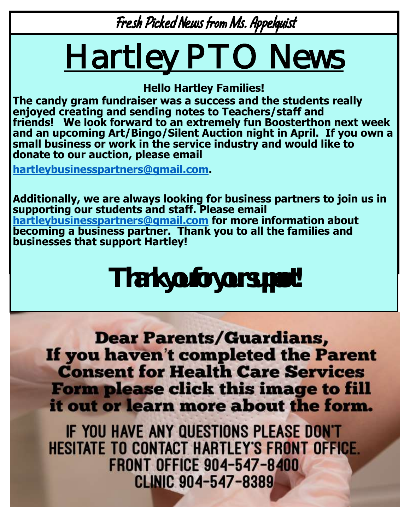Fresh Picked News from Ms. Appelquist

# Hartley PTO News

**Hello Hartley Families!** 

**The candy gram fundraiser was a success and the students really enjoyed creating and sending notes to Teachers/staff and friends! We look forward to an extremely fun Boosterthon next week and an upcoming Art/Bingo/Silent Auction night in April. If you own a small business or work in the service industry and would like to donate to our auction, please email** 

**[hartleybusinesspartners@gmail.com.](mailto:hartleybusinesspartners@gmail.com)** 

**Additionally, we are always looking for business partners to join us in supporting our students and staff. Please email [hartleybusinesspartners@gmail.com](mailto:hartleybusinesspartners@gmail.com) for more information about becoming a business partner. Thank you to all the families and businesses that support Hartley!**

**Thank you for your support!**

**Dear Parents/Guardians,** If you haven't completed the Parent **Consent for Health Care Services** Form please click this image to fill it out or learn more about the form.

IF YOU HAVE ANY QUESTIONS PLEASE DON'T **HESITATE TO CONTACT HARTLEY'S FRONT OFFICE. FRONT OFFICE 904-547-8400 CLINIC 904-547-8389**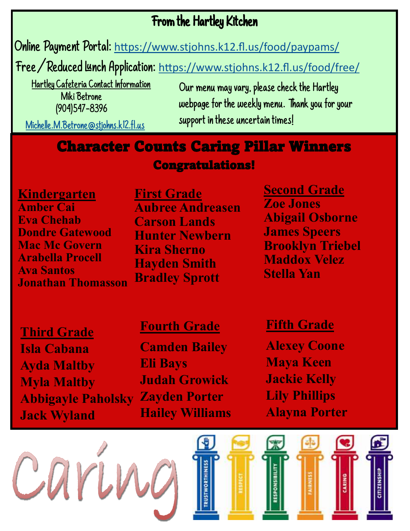### From the Hartley Kitchen

Online Payment Portal: [https://www.stjohns.k12.fl.us/food/paypams/](https://nam12.safelinks.protection.outlook.com/?url=https%3A%2F%2Fwww.stjohns.k12.fl.us%2Ffood%2Fpaypams%2F&data=04%7C01%7CJacey.Gwaltney%40stjohns.k12.fl.us%7Ce350cb4df1d5453cdc8c08d96332da36%7Cb3b3d057fc124f3f92f472be6e844351%7C0%7C0%7C637649892320651800%7C)

Free/Reduced Lunch Application: [https://www.stjohns.k12.fl.us/food/free/](https://nam12.safelinks.protection.outlook.com/?url=https%3A%2F%2Fwww.stjohns.k12.fl.us%2Ffood%2Ffree%2F&data=04%7C01%7CJacey.Gwaltney%40stjohns.k12.fl.us%7Ce350cb4df1d5453cdc8c08d96332da36%7Cb3b3d057fc124f3f92f472be6e844351%7C0%7C0%7C637649892320651800%7CUnk)

 Hartley Cafeteria Contact Information Miki Betrone (904)547-8396

Our menu may vary, please check the Hartley webpage for the weekly menu. Thank you for your support in these uncertain times!

[Michelle.M.Betrone@stjohns.k12.fl.us](mailto:Michelle.M.Betrone@stjohns.k12.fl.us)

### Character Counts Caring Pillar Winners Congratulations!

**Kindergarten Amber Cai Eva Chehab Dondre Gatewood Mac Mc Govern Arabella Procell Ava Santos Jonathan Thomasson** **First Grade Aubree Andreasen Carson Lands Hunter Newbern Kira Sherno Hayden Smith Bradley Sprott**

**Second Grade Zoe Jones Abigail Osborne James Speers Brooklyn Triebel Maddox Velez Stella Yan**

**Third Grade Isla Cabana Ayda Maltby Myla Maltby Abbigayle Paholsky Zayden Porter Jack Wyland**

#### **Fourth Grade**

**Camden Bailey Eli Bays Judah Growick Hailey Williams**

### **Fifth Grade**

**Alexey Coone Maya Keen Jackie Kelly Lily Phillips Alayna Porter**



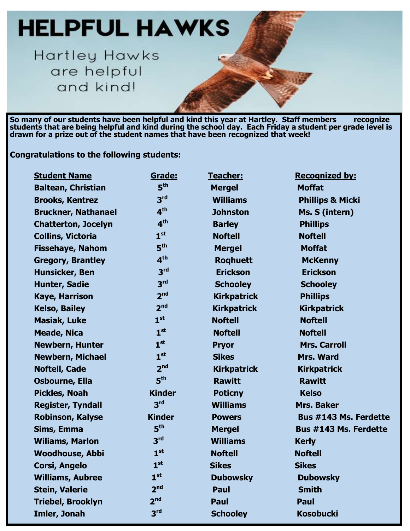# **HELPFUL HAWKS**

Hartley Hawks are helpful and kind!

**So many of our students have been helpful and kind this year at Hartley. Staff members recognize students that are being helpful and kind during the school day. Each Friday a student per grade level is drawn for a prize out of the student names that have been recognized that week!** 

**Congratulations to the following students:**

| <b>Student Name</b>        | Grade:          | Teacher:           | <b>Recognized by:</b>        |
|----------------------------|-----------------|--------------------|------------------------------|
| <b>Baltean, Christian</b>  | 5 <sup>th</sup> | <b>Mergel</b>      | <b>Moffat</b>                |
| <b>Brooks, Kentrez</b>     | 3 <sup>rd</sup> | <b>Williams</b>    | <b>Phillips &amp; Micki</b>  |
| <b>Bruckner, Nathanael</b> | 4 <sup>th</sup> | <b>Johnston</b>    | Ms. S (intern)               |
| <b>Chatterton, Jocelyn</b> | 4 <sup>th</sup> | <b>Barley</b>      | <b>Phillips</b>              |
| <b>Collins, Victoria</b>   | 1 <sup>st</sup> | <b>Noftell</b>     | <b>Noftell</b>               |
| <b>Fissehaye, Nahom</b>    | 5 <sup>th</sup> | <b>Mergel</b>      | <b>Moffat</b>                |
| <b>Gregory, Brantley</b>   | 4 <sup>th</sup> | <b>Roghuett</b>    | <b>McKenny</b>               |
| <b>Hunsicker, Ben</b>      | 3 <sup>rd</sup> | <b>Erickson</b>    | <b>Erickson</b>              |
| Hunter, Sadie              | 3 <sup>rd</sup> | <b>Schooley</b>    | <b>Schooley</b>              |
| <b>Kaye, Harrison</b>      | 2 <sup>nd</sup> | <b>Kirkpatrick</b> | <b>Phillips</b>              |
| <b>Kelso, Bailey</b>       | 2 <sup>nd</sup> | <b>Kirkpatrick</b> | <b>Kirkpatrick</b>           |
| <b>Masiak, Luke</b>        | 1 <sup>st</sup> | <b>Noftell</b>     | <b>Noftell</b>               |
| <b>Meade, Nica</b>         | 1 <sup>st</sup> | <b>Noftell</b>     | <b>Noftell</b>               |
| <b>Newbern, Hunter</b>     | 1 <sup>st</sup> | <b>Pryor</b>       | <b>Mrs. Carroll</b>          |
| <b>Newbern, Michael</b>    | 1 <sup>st</sup> | <b>Sikes</b>       | <b>Mrs. Ward</b>             |
| <b>Noftell, Cade</b>       | 2 <sub>nd</sub> | <b>Kirkpatrick</b> | <b>Kirkpatrick</b>           |
| <b>Osbourne, Ella</b>      | 5 <sup>th</sup> | <b>Rawitt</b>      | <b>Rawitt</b>                |
| <b>Pickles, Noah</b>       | <b>Kinder</b>   | <b>Poticny</b>     | <b>Kelso</b>                 |
| <b>Register, Tyndall</b>   | 3 <sup>rd</sup> | <b>Williams</b>    | Mrs. Baker                   |
| <b>Robinson, Kalyse</b>    | <b>Kinder</b>   | <b>Powers</b>      | <b>Bus #143 Ms. Ferdette</b> |
| Sims, Emma                 | 5 <sup>th</sup> | <b>Mergel</b>      | <b>Bus #143 Ms. Ferdette</b> |
| <b>Wiliams, Marlon</b>     | 3 <sup>rd</sup> | <b>Williams</b>    | <b>Kerly</b>                 |
| <b>Woodhouse, Abbi</b>     | 1 <sup>st</sup> | <b>Noftell</b>     | <b>Noftell</b>               |
| <b>Corsi, Angelo</b>       | 1 <sup>st</sup> | <b>Sikes</b>       | <b>Sikes</b>                 |
| <b>Williams, Aubree</b>    | 1 <sup>st</sup> | <b>Dubowsky</b>    | <b>Dubowsky</b>              |
| <b>Stein, Valerie</b>      | 2 <sup>nd</sup> | Paul               | <b>Smith</b>                 |
| <b>Triebel, Brooklyn</b>   | 2 <sup>nd</sup> | Paul               | Paul                         |
| Imler, Jonah               | 3 <sup>rd</sup> | <b>Schooley</b>    | <b>Kosobucki</b>             |
|                            |                 |                    |                              |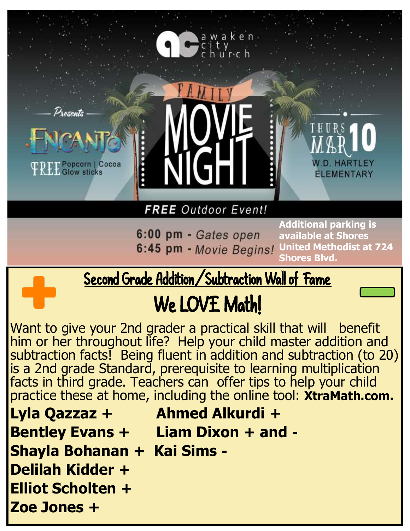

6:00 pm - Gates open 6:45 pm - Movie Begins!

**Additional parking is available at Shores United Methodist at 724 Shores Blvd.** 

# Second Grade Addition/Subtraction Wall of Fame

# We LOVE Math!

Want to give your 2nd grader a practical skill that will benefit him or her throughout life? Help your child master addition and subtraction facts! Being fluent in addition and subtraction (to 20) is a 2nd grade Standard, prerequisite to learning multiplication facts in third grade. Teachers can offer tips to help your child practice these at home, including the online tool: **XtraMath.com.** 

- **Lyla Qazzaz + Ahmed Alkurdi + Bentley Evans + Liam Dixon + and - Shayla Bohanan + Kai Sims -**
- **Delilah Kidder +**
- **Elliot Scholten +**
- **Zoe Jones +**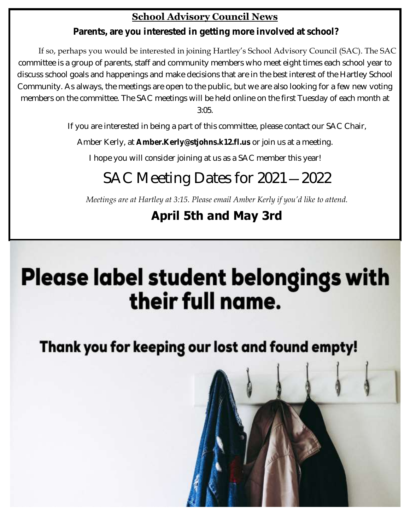#### **School Advisory Council News**

**Parents, are you interested in getting more involved at school?** 

If so, perhaps you would be interested in joining Hartley's School Advisory Council (SAC). The SAC committee is a group of parents, staff and community members who meet eight times each school year to discuss school goals and happenings and make decisions that are in the best interest of the Hartley School Community. As always, the meetings are open to the public, but we are also looking for a few new voting members on the committee. The SAC meetings will be held online on the first Tuesday of each month at 3:05.

If you are interested in being a part of this committee, please contact our SAC Chair,

Amber Kerly, at **Amber.Kerly@stjohns.k12.fl.us** or join us at a meeting.

I hope you will consider joining at us as a SAC member this year!

## SAC Meeting Dates for 2021—2022

*Meetings are at Hartley at 3:15. Please email Amber Kerly if you'd like to attend.* 

### **April 5th and May 3rd**

# **Please label student belongings with** their full name.

Thank you for keeping our lost and found empty!